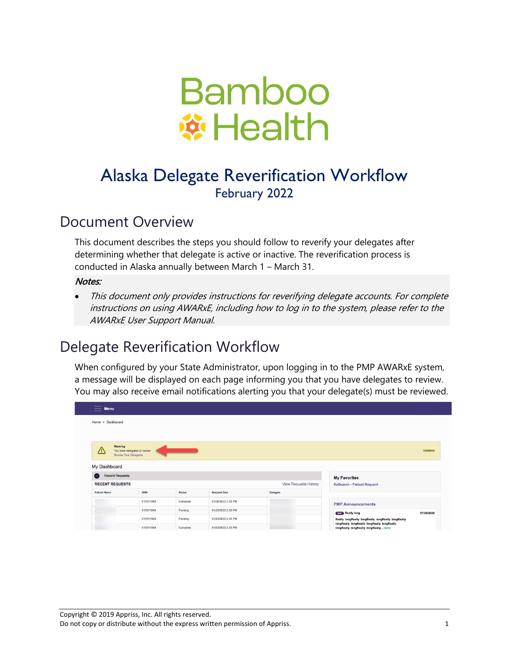

# Alaska Delegate Reverification Workflow February 2022

## Document Overview

This document describes the steps you should follow to reverify your delegates after determining whether that delegate is active or inactive. The reverification process is conducted in Alaska annually between March 1 – March 31.

#### Notes:

• This document only provides instructions for reverifying delegate accounts. For complete instructions on using AWARxE, including how to log in to the system, please refer to the AWARxE User Support Manual.

## Delegate Reverification Workflow

When configured by your State Administrator, upon logging in to the PMP AWARxE system, a message will be displayed on each page informing you that you have delegates to review. You may also receive email notifications alerting you that your delegate(s) must be reviewed.

| <b>Menu</b><br>$=$                  |                                                       |               |                     |                              |                                                                                      |
|-------------------------------------|-------------------------------------------------------|---------------|---------------------|------------------------------|--------------------------------------------------------------------------------------|
| Home > Dashboard                    |                                                       |               |                     |                              |                                                                                      |
|                                     |                                                       |               |                     |                              |                                                                                      |
| Warning<br>∧                        | You have delegates to review<br>Review Your Delegates |               |                     |                              | <b>DISMISS</b>                                                                       |
| My Dashboard                        |                                                       |               |                     |                              |                                                                                      |
| <b>Recent Requests</b><br>$\bullet$ |                                                       |               |                     |                              | <b>My Favorites</b>                                                                  |
| <b>RECENT REQUESTS</b>              |                                                       |               |                     | <b>View Requests History</b> | <b>RxSearch - Patient Request</b>                                                    |
| <b>Patient Name</b>                 | DOB                                                   | <b>Status</b> | <b>Request Date</b> | Delegate                     |                                                                                      |
|                                     | 01/01/1960                                            | Complete      | 01/26/2022 2:25 PM  |                              | <b>PMP Announcements</b>                                                             |
|                                     | 01/01/1980                                            | Pending       | 01/23/2022 2:33 PM  |                              | <b>Really long</b><br>07/29/2020                                                     |
|                                     | 01/01/1960                                            | Pending       | 01/23/2022 2:31 PM  |                              | Really longReally longReally longReally longReally                                   |
|                                     | 01/01/1960                                            | Complete      | 01/23/2022 2:25 PM  |                              | longReally longReally longReally longReally<br>longReally longReally longReally more |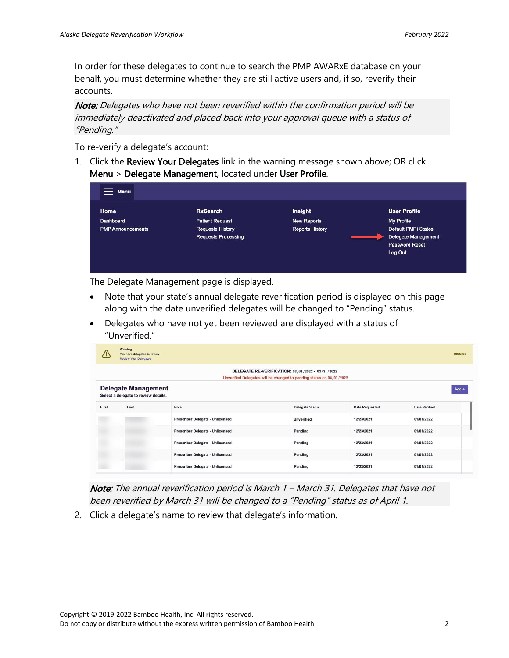In order for these delegates to continue to search the PMP AWARxE database on your behalf, you must determine whether they are still active users and, if so, reverify their accounts.

Note: Delegates who have not been reverified within the confirmation period will be immediately deactivated and placed back into your approval queue with a status of "Pending."

To re-verify a delegate's account:

1. Click the Review Your Delegates link in the warning message shown above; OR click Menu > Delegate Management, located under User Profile.

| <b>Menu</b><br>$\qquad \qquad -$ |                                                       |                        |                                                                         |
|----------------------------------|-------------------------------------------------------|------------------------|-------------------------------------------------------------------------|
| <b>Home</b>                      | <b>RxSearch</b>                                       | Insight                | <b>User Profile</b>                                                     |
| Dashboard                        | <b>Patient Request</b>                                | <b>New Reports</b>     | My Profile                                                              |
| <b>PMP</b> Announcements         | <b>Requests History</b><br><b>Requests Processing</b> | <b>Reports History</b> | Default PMPi States<br>Delegate Management<br>Password Reset<br>Log Out |

The Delegate Management page is displayed.

- Note that your state's annual delegate reverification period is displayed on this page along with the date unverified delegates will be changed to "Pending" status.
- Delegates who have not yet been reviewed are displayed with a status of "Unverified."

|                                                                                                                           | Warning<br>You have delegates to review<br><b>Review Your Delegates</b>       |                                         |                        |                       | <b>DISMISS</b>       |  |
|---------------------------------------------------------------------------------------------------------------------------|-------------------------------------------------------------------------------|-----------------------------------------|------------------------|-----------------------|----------------------|--|
| DELEGATE RE-VERIFICATION: 03/01/2022 - 03/31/2022<br>Unverified Delegates will be changed to pending status on 04/01/2022 |                                                                               |                                         |                        |                       |                      |  |
|                                                                                                                           | <b>Delegate Management</b><br>$Add +$<br>Select a delegate to review details. |                                         |                        |                       |                      |  |
| First                                                                                                                     | Last                                                                          | Role                                    | <b>Delegate Status</b> | <b>Date Requested</b> | <b>Date Verified</b> |  |
|                                                                                                                           |                                                                               | Prescriber Delegate - Unlicensed        | <b>Unverified</b>      | 12/23/2021            | 01/01/2022           |  |
|                                                                                                                           |                                                                               | <b>Prescriber Delegate - Unlicensed</b> | Pending                | 12/23/2021            | 01/01/2022           |  |
|                                                                                                                           |                                                                               | <b>Prescriber Delegate - Unlicensed</b> | Pending                | 12/23/2021            | 01/01/2022           |  |
|                                                                                                                           |                                                                               | Prescriber Delegate - Unlicensed        | Pending                | 12/23/2021            | 01/01/2022           |  |
|                                                                                                                           |                                                                               | Prescriber Delegate - Unlicensed        | Pending                | 12/23/2021            | 01/01/2022           |  |

Note: The annual reverification period is March 1 - March 31. Delegates that have not been reverified by March 31 will be changed to a "Pending" status as of April 1.

2. Click a delegate's name to review that delegate's information.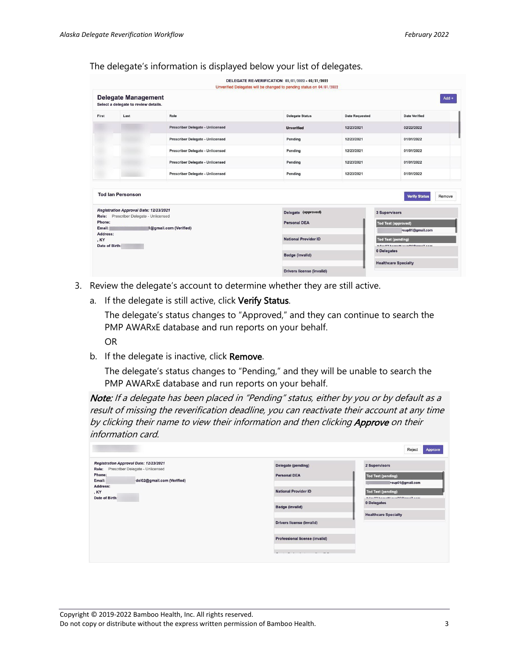#### The delegate's information is displayed below your list of delegates.

|                                                                                                             |                                                                    |                                         | DELEGATE RE-VERIFICATION: 03/01/2022 - 03/31/2022<br>Unverified Delegates will be changed to pending status on 04/01/2022 |                                                                                                                                         |                                |  |
|-------------------------------------------------------------------------------------------------------------|--------------------------------------------------------------------|-----------------------------------------|---------------------------------------------------------------------------------------------------------------------------|-----------------------------------------------------------------------------------------------------------------------------------------|--------------------------------|--|
|                                                                                                             | <b>Delegate Management</b><br>Select a delegate to review details. |                                         |                                                                                                                           |                                                                                                                                         | $Add +$                        |  |
| First                                                                                                       | Last                                                               | Role                                    | <b>Delegate Status</b>                                                                                                    | <b>Date Requested</b>                                                                                                                   | Date Verified                  |  |
|                                                                                                             |                                                                    | <b>Prescriber Delegate - Unlicensed</b> | <b>Unverified</b>                                                                                                         | 12/23/2021                                                                                                                              | 02/22/2022                     |  |
|                                                                                                             |                                                                    | <b>Prescriber Delegate - Unlicensed</b> | Pending                                                                                                                   | 12/23/2021                                                                                                                              | 01/01/2022                     |  |
|                                                                                                             |                                                                    | Prescriber Delegate - Unlicensed        | Pending                                                                                                                   | 12/23/2021                                                                                                                              | 01/01/2022                     |  |
|                                                                                                             |                                                                    | <b>Prescriber Delegate - Unlicensed</b> | Pending                                                                                                                   | 12/23/2021                                                                                                                              | 01/01/2022                     |  |
|                                                                                                             |                                                                    | Prescriber Delegate - Unlicensed        | Pending                                                                                                                   | 12/23/2021                                                                                                                              | 01/01/2022                     |  |
|                                                                                                             |                                                                    |                                         |                                                                                                                           |                                                                                                                                         |                                |  |
|                                                                                                             | <b>Tod Ian Personson</b>                                           |                                         |                                                                                                                           |                                                                                                                                         | Remove<br><b>Verify Status</b> |  |
| Registration Approval Date: 12/23/2021                                                                      |                                                                    | Delegate (approved)                     |                                                                                                                           | 3 Supervisors                                                                                                                           |                                |  |
| Prescriber Delegate - Unlicensed<br>Role:<br>Phone:<br>1@gmail.com (Verified)<br>Email:<br>Address:<br>. KY |                                                                    |                                         | <b>Personal DEA</b>                                                                                                       |                                                                                                                                         | <b>Tod Test (approved)</b>     |  |
|                                                                                                             |                                                                    |                                         |                                                                                                                           | <b>National Provider ID</b><br><b>Tod Test (pending)</b><br>Adam 09 barnatt taun 04 @amail aam<br>0 Delegates<br><b>Badge (invalid)</b> |                                |  |
|                                                                                                             |                                                                    |                                         |                                                                                                                           |                                                                                                                                         |                                |  |
| Date of Birth:                                                                                              |                                                                    |                                         |                                                                                                                           |                                                                                                                                         |                                |  |
|                                                                                                             |                                                                    |                                         |                                                                                                                           |                                                                                                                                         |                                |  |
|                                                                                                             |                                                                    | <b>Drivers license (invalid)</b>        |                                                                                                                           | <b>Healthcare Specialty</b>                                                                                                             |                                |  |

- 3. Review the delegate's account to determine whether they are still active.
	- a. If the delegate is still active, click Verify Status.

The delegate's status changes to "Approved," and they can continue to search the PMP AWARxE database and run reports on your behalf.

OR

b. If the delegate is inactive, click Remove.

The delegate's status changes to "Pending," and they will be unable to search the PMP AWARxE database and run reports on your behalf.

Note: If a delegate has been placed in "Pending" status, either by you or by default as a result of missing the reverification deadline, you can reactivate their account at any time by clicking their name to view their information and then clicking Approve on their information card.

|                                                                                                                                                                                                                                                                         | Reject<br>Approve                                                                 |  |
|-------------------------------------------------------------------------------------------------------------------------------------------------------------------------------------------------------------------------------------------------------------------------|-----------------------------------------------------------------------------------|--|
| Delegate (pending)<br><b>Personal DEA</b>                                                                                                                                                                                                                               | 2 Supervisors<br><b>Tod Test (pending)</b><br>+sup01@gmail.com                    |  |
| <b>National Provider ID</b><br><b>Badge (invalid)</b>                                                                                                                                                                                                                   | <b>Tod Test (pending)</b><br>below 02 home of the unOE @ small com<br>0 Delegates |  |
| Drivers license (invalid)                                                                                                                                                                                                                                               | <b>Healthcare Specialty</b>                                                       |  |
| <b>Professional license (invalid)</b><br>with the contract of the contract of the contract of the contract of the contract of the contract of the contract of the contract of the contract of the contract of the contract of the contract of the contract of the contr |                                                                                   |  |
|                                                                                                                                                                                                                                                                         |                                                                                   |  |